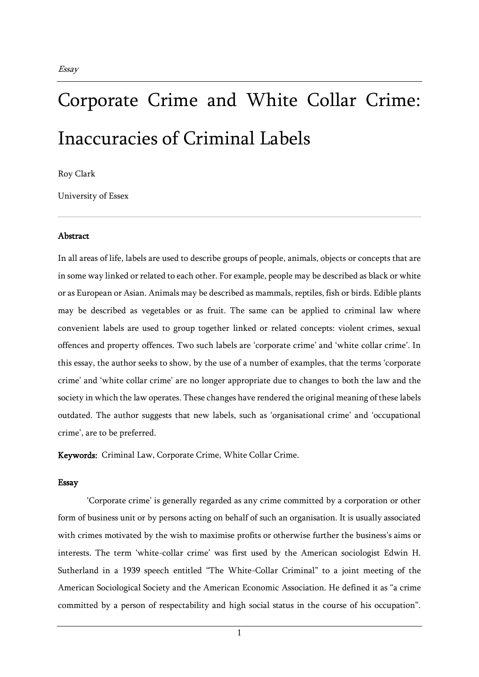## Corporate Crime and White Collar Crime: Inaccuracies of Criminal Labels

Roy Clark

University of Essex

## **Abstract**

In all areas of life, labels are used to describe groups of people, animals, objects or concepts that are in some way linked or related to each other. For example, people may be described as black or white or as European or Asian. Animals may be described as mammals, reptiles, fish or birds. Edible plants may be described as vegetables or as fruit. The same can be applied to criminal law where convenient labels are used to group together linked or related concepts: violent crimes, sexual offences and property offences. Two such labels are 'corporate crime' and 'white collar crime'. In this essay, the author seeks to show, by the use of a number of examples, that the terms 'corporate crime' and 'white collar crime' are no longer appropriate due to changes to both the law and the society in which the law operates. These changes have rendered the original meaning of these labels outdated. The author suggests that new labels, such as 'organisational crime' and 'occupational crime', are to be preferred.

Keywords: Criminal Law, Corporate Crime, White Collar Crime.

## Essay

'Corporate crime' is generally regarded as any crime committed by a corporation or other form of business unit or by persons acting on behalf of such an organisation. It is usually associated with crimes motivated by the wish to maximise profits or otherwise further the business's aims or interests. The term 'white-collar crime' was first used by the American sociologist Edwin H. Sutherland in a 1939 speech entitled "The White-Collar Criminal" to a joint meeting of the American Sociological Society and the American Economic Association. He defined it as "a crime committed by a person of respectability and high social status in the course of his occupation".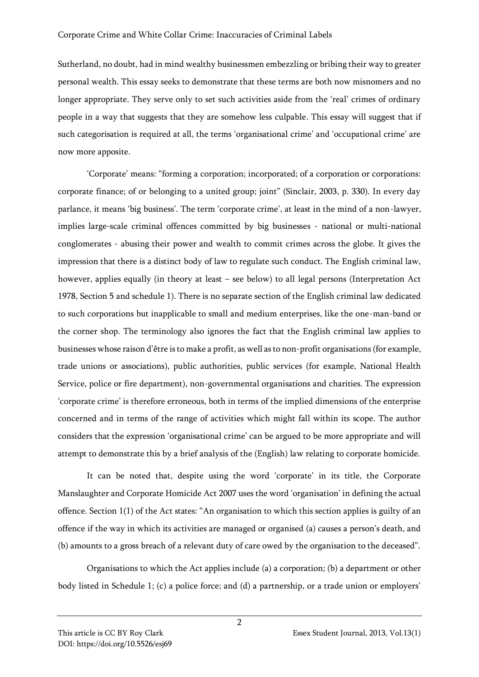Sutherland, no doubt, had in mind wealthy businessmen embezzling or bribing their way to greater personal wealth. This essay seeks to demonstrate that these terms are both now misnomers and no longer appropriate. They serve only to set such activities aside from the 'real' crimes of ordinary people in a way that suggests that they are somehow less culpable. This essay will suggest that if such categorisation is required at all, the terms 'organisational crime' and 'occupational crime' are now more apposite.

'Corporate' means: "forming a corporation; incorporated; of a corporation or corporations: corporate finance; of or belonging to a united group; joint" (Sinclair, 2003, p. 330). In every day parlance, it means 'big business'. The term 'corporate crime', at least in the mind of a non-lawyer, implies large-scale criminal offences committed by big businesses - national or multi-national conglomerates - abusing their power and wealth to commit crimes across the globe. It gives the impression that there is a distinct body of law to regulate such conduct. The English criminal law, however, applies equally (in theory at least – see below) to all legal persons (Interpretation Act 1978, Section 5 and schedule 1). There is no separate section of the English criminal law dedicated to such corporations but inapplicable to small and medium enterprises, like the one-man-band or the corner shop. The terminology also ignores the fact that the English criminal law applies to businesses whose raison d'être is to make a profit, as well as to non-profit organisations (for example, trade unions or associations), public authorities, public services (for example, National Health Service, police or fire department), non-governmental organisations and charities. The expression 'corporate crime' is therefore erroneous, both in terms of the implied dimensions of the enterprise concerned and in terms of the range of activities which might fall within its scope. The author considers that the expression 'organisational crime' can be argued to be more appropriate and will attempt to demonstrate this by a brief analysis of the (English) law relating to corporate homicide.

It can be noted that, despite using the word 'corporate' in its title, the Corporate Manslaughter and Corporate Homicide Act 2007 uses the word 'organisation' in defining the actual offence. Section 1(1) of the Act states: "An organisation to which this section applies is guilty of an offence if the way in which its activities are managed or organised (a) causes a person's death, and (b) amounts to a gross breach of a relevant duty of care owed by the organisation to the deceased".

Organisations to which the Act applies include (a) a corporation; (b) a department or other body listed in Schedule 1; (c) a police force; and (d) a partnership, or a trade union or employers'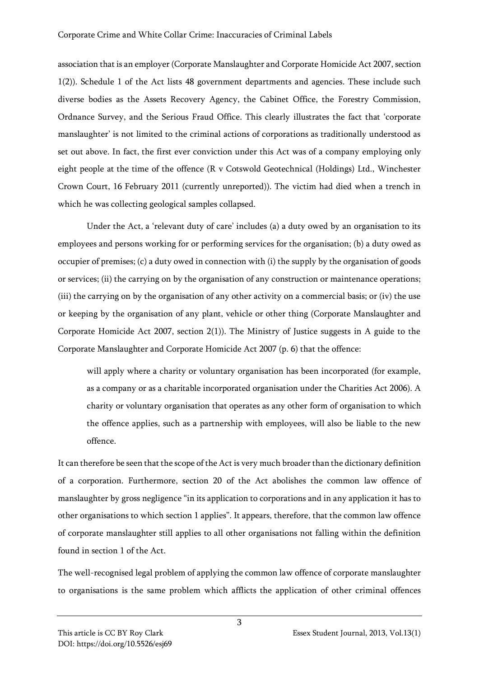association that is an employer (Corporate Manslaughter and Corporate Homicide Act 2007, section 1(2)). Schedule 1 of the Act lists 48 government departments and agencies. These include such diverse bodies as the Assets Recovery Agency, the Cabinet Office, the Forestry Commission, Ordnance Survey, and the Serious Fraud Office. This clearly illustrates the fact that 'corporate manslaughter' is not limited to the criminal actions of corporations as traditionally understood as set out above. In fact, the first ever conviction under this Act was of a company employing only eight people at the time of the offence (R v Cotswold Geotechnical (Holdings) Ltd., Winchester Crown Court, 16 February 2011 (currently unreported)). The victim had died when a trench in which he was collecting geological samples collapsed.

Under the Act, a 'relevant duty of care' includes (a) a duty owed by an organisation to its employees and persons working for or performing services for the organisation; (b) a duty owed as occupier of premises; (c) a duty owed in connection with (i) the supply by the organisation of goods or services; (ii) the carrying on by the organisation of any construction or maintenance operations; (iii) the carrying on by the organisation of any other activity on a commercial basis; or (iv) the use or keeping by the organisation of any plant, vehicle or other thing (Corporate Manslaughter and Corporate Homicide Act 2007, section 2(1)). The Ministry of Justice suggests in A guide to the Corporate Manslaughter and Corporate Homicide Act 2007 (p. 6) that the offence:

will apply where a charity or voluntary organisation has been incorporated (for example, as a company or as a charitable incorporated organisation under the Charities Act 2006). A charity or voluntary organisation that operates as any other form of organisation to which the offence applies, such as a partnership with employees, will also be liable to the new offence.

It can therefore be seen that the scope of the Act is very much broader than the dictionary definition of a corporation. Furthermore, section 20 of the Act abolishes the common law offence of manslaughter by gross negligence "in its application to corporations and in any application it has to other organisations to which section 1 applies". It appears, therefore, that the common law offence of corporate manslaughter still applies to all other organisations not falling within the definition found in section 1 of the Act.

The well-recognised legal problem of applying the common law offence of corporate manslaughter to organisations is the same problem which afflicts the application of other criminal offences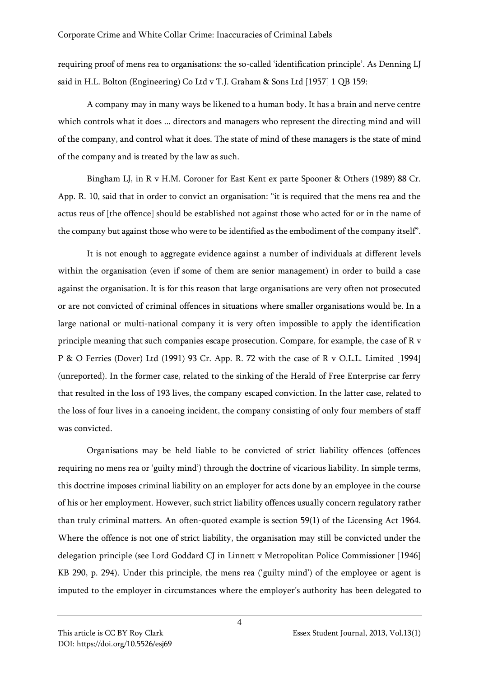requiring proof of mens rea to organisations: the so-called 'identification principle'. As Denning LJ said in H.L. Bolton (Engineering) Co Ltd v T.J. Graham & Sons Ltd [1957] 1 QB 159:

A company may in many ways be likened to a human body. It has a brain and nerve centre which controls what it does ... directors and managers who represent the directing mind and will of the company, and control what it does. The state of mind of these managers is the state of mind of the company and is treated by the law as such.

Bingham LJ, in R v H.M. Coroner for East Kent ex parte Spooner & Others (1989) 88 Cr. App. R. 10, said that in order to convict an organisation: "it is required that the mens rea and the actus reus of [the offence] should be established not against those who acted for or in the name of the company but against those who were to be identified as the embodiment of the company itself".

It is not enough to aggregate evidence against a number of individuals at different levels within the organisation (even if some of them are senior management) in order to build a case against the organisation. It is for this reason that large organisations are very often not prosecuted or are not convicted of criminal offences in situations where smaller organisations would be. In a large national or multi-national company it is very often impossible to apply the identification principle meaning that such companies escape prosecution. Compare, for example, the case of R v P & O Ferries (Dover) Ltd (1991) 93 Cr. App. R. 72 with the case of R v O.L.L. Limited [1994] (unreported). In the former case, related to the sinking of the Herald of Free Enterprise car ferry that resulted in the loss of 193 lives, the company escaped conviction. In the latter case, related to the loss of four lives in a canoeing incident, the company consisting of only four members of staff was convicted.

Organisations may be held liable to be convicted of strict liability offences (offences requiring no mens rea or 'guilty mind') through the doctrine of vicarious liability. In simple terms, this doctrine imposes criminal liability on an employer for acts done by an employee in the course of his or her employment. However, such strict liability offences usually concern regulatory rather than truly criminal matters. An often-quoted example is section 59(1) of the Licensing Act 1964. Where the offence is not one of strict liability, the organisation may still be convicted under the delegation principle (see Lord Goddard CJ in Linnett v Metropolitan Police Commissioner [1946] KB 290, p. 294). Under this principle, the mens rea ('guilty mind') of the employee or agent is imputed to the employer in circumstances where the employer's authority has been delegated to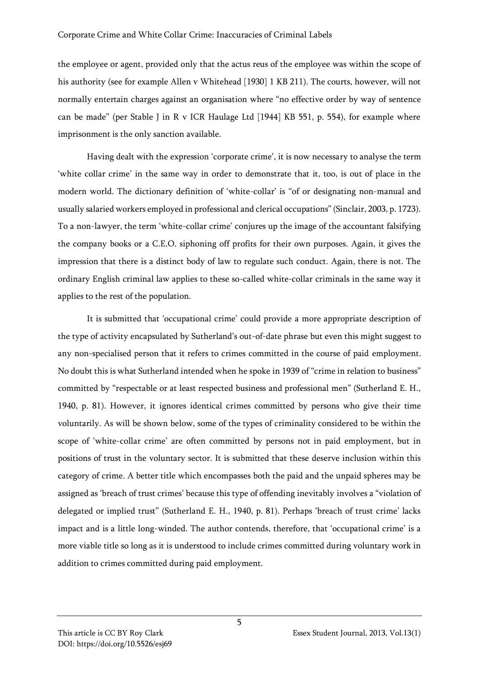the employee or agent, provided only that the actus reus of the employee was within the scope of his authority (see for example Allen v Whitehead [1930] 1 KB 211). The courts, however, will not normally entertain charges against an organisation where "no effective order by way of sentence can be made" (per Stable J in R v ICR Haulage Ltd [1944] KB 551, p. 554), for example where imprisonment is the only sanction available.

Having dealt with the expression 'corporate crime', it is now necessary to analyse the term 'white collar crime' in the same way in order to demonstrate that it, too, is out of place in the modern world. The dictionary definition of 'white-collar' is "of or designating non-manual and usually salaried workers employed in professional and clerical occupations" (Sinclair, 2003, p. 1723). To a non-lawyer, the term 'white-collar crime' conjures up the image of the accountant falsifying the company books or a C.E.O. siphoning off profits for their own purposes. Again, it gives the impression that there is a distinct body of law to regulate such conduct. Again, there is not. The ordinary English criminal law applies to these so-called white-collar criminals in the same way it applies to the rest of the population.

It is submitted that 'occupational crime' could provide a more appropriate description of the type of activity encapsulated by Sutherland's out-of-date phrase but even this might suggest to any non-specialised person that it refers to crimes committed in the course of paid employment. No doubt this is what Sutherland intended when he spoke in 1939 of "crime in relation to business" committed by "respectable or at least respected business and professional men" (Sutherland E. H., 1940, p. 81). However, it ignores identical crimes committed by persons who give their time voluntarily. As will be shown below, some of the types of criminality considered to be within the scope of 'white-collar crime' are often committed by persons not in paid employment, but in positions of trust in the voluntary sector. It is submitted that these deserve inclusion within this category of crime. A better title which encompasses both the paid and the unpaid spheres may be assigned as 'breach of trust crimes' because this type of offending inevitably involves a "violation of delegated or implied trust" (Sutherland E. H., 1940, p. 81). Perhaps 'breach of trust crime' lacks impact and is a little long-winded. The author contends, therefore, that 'occupational crime' is a more viable title so long as it is understood to include crimes committed during voluntary work in addition to crimes committed during paid employment.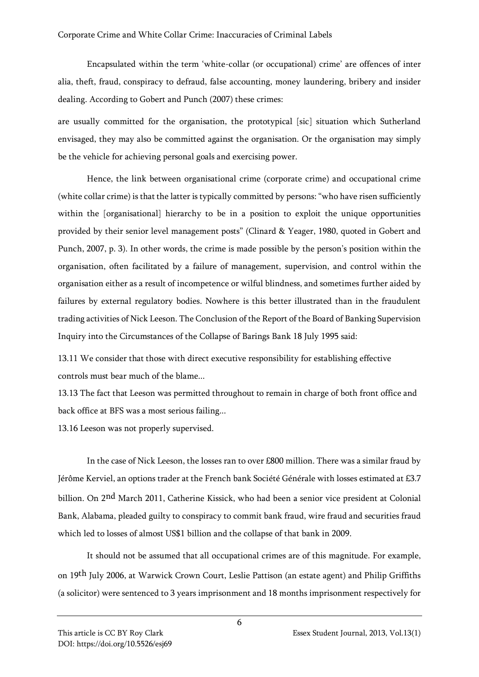Encapsulated within the term 'white-collar (or occupational) crime' are offences of inter alia, theft, fraud, conspiracy to defraud, false accounting, money laundering, bribery and insider dealing. According to Gobert and Punch (2007) these crimes:

are usually committed for the organisation, the prototypical [sic] situation which Sutherland envisaged, they may also be committed against the organisation. Or the organisation may simply be the vehicle for achieving personal goals and exercising power.

Hence, the link between organisational crime (corporate crime) and occupational crime (white collar crime) is that the latter is typically committed by persons: "who have risen sufficiently within the [organisational] hierarchy to be in a position to exploit the unique opportunities provided by their senior level management posts" (Clinard & Yeager, 1980, quoted in Gobert and Punch, 2007, p. 3). In other words, the crime is made possible by the person's position within the organisation, often facilitated by a failure of management, supervision, and control within the organisation either as a result of incompetence or wilful blindness, and sometimes further aided by failures by external regulatory bodies. Nowhere is this better illustrated than in the fraudulent trading activities of Nick Leeson. The Conclusion of the Report of the Board of Banking Supervision Inquiry into the Circumstances of the Collapse of Barings Bank 18 July 1995 said:

13.11 We consider that those with direct executive responsibility for establishing effective controls must bear much of the blame...

13.13 The fact that Leeson was permitted throughout to remain in charge of both front office and back office at BFS was a most serious failing...

13.16 Leeson was not properly supervised.

In the case of Nick Leeson, the losses ran to over £800 million. There was a similar fraud by Jérôme Kerviel, an options trader at the French bank Société Générale with losses estimated at £3.7 billion. On 2<sup>nd</sup> March 2011, Catherine Kissick, who had been a senior vice president at Colonial Bank, Alabama, pleaded guilty to conspiracy to commit bank fraud, wire fraud and securities fraud which led to losses of almost US\$1 billion and the collapse of that bank in 2009.

It should not be assumed that all occupational crimes are of this magnitude. For example, on 19<sup>th</sup> July 2006, at Warwick Crown Court, Leslie Pattison (an estate agent) and Philip Griffiths (a solicitor) were sentenced to 3 years imprisonment and 18 months imprisonment respectively for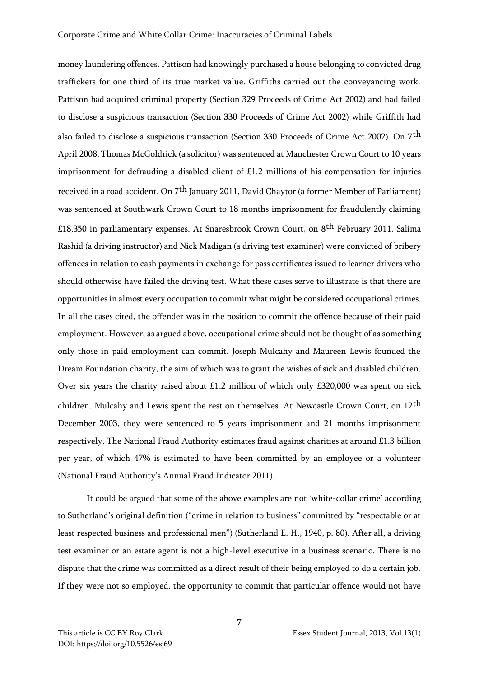money laundering offences. Pattison had knowingly purchased a house belonging to convicted drug traffickers for one third of its true market value. Griffiths carried out the conveyancing work. Pattison had acquired criminal property (Section 329 Proceeds of Crime Act 2002) and had failed to disclose a suspicious transaction (Section 330 Proceeds of Crime Act 2002) while Griffith had also failed to disclose a suspicious transaction (Section 330 Proceeds of Crime Act 2002). On 7th April 2008, Thomas McGoldrick (a solicitor) was sentenced at Manchester Crown Court to 10 years imprisonment for defrauding a disabled client of £1.2 millions of his compensation for injuries received in a road accident. On 7th January 2011, David Chaytor (a former Member of Parliament) was sentenced at Southwark Crown Court to 18 months imprisonment for fraudulently claiming £18,350 in parliamentary expenses. At Snaresbrook Crown Court, on 8th February 2011, Salima Rashid (a driving instructor) and Nick Madigan (a driving test examiner) were convicted of bribery offences in relation to cash payments in exchange for pass certificates issued to learner drivers who should otherwise have failed the driving test. What these cases serve to illustrate is that there are opportunities in almost every occupation to commit what might be considered occupational crimes. In all the cases cited, the offender was in the position to commit the offence because of their paid employment. However, as argued above, occupational crime should not be thought of as something only those in paid employment can commit. Joseph Mulcahy and Maureen Lewis founded the Dream Foundation charity, the aim of which was to grant the wishes of sick and disabled children. Over six years the charity raised about £1.2 million of which only £320,000 was spent on sick children. Mulcahy and Lewis spent the rest on themselves. At Newcastle Crown Court, on 12<sup>th</sup> December 2003, they were sentenced to 5 years imprisonment and 21 months imprisonment respectively. The National Fraud Authority estimates fraud against charities at around £1.3 billion per year, of which 47% is estimated to have been committed by an employee or a volunteer (National Fraud Authority's Annual Fraud Indicator 2011).

It could be argued that some of the above examples are not 'white-collar crime' according to Sutherland's original definition ("crime in relation to business" committed by "respectable or at least respected business and professional men") (Sutherland E. H., 1940, p. 80). After all, a driving test examiner or an estate agent is not a high-level executive in a business scenario. There is no dispute that the crime was committed as a direct result of their being employed to do a certain job. If they were not so employed, the opportunity to commit that particular offence would not have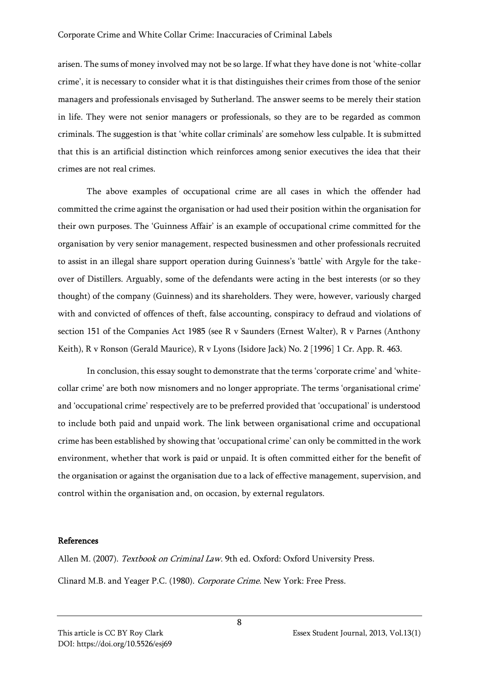arisen. The sums of money involved may not be so large. If what they have done is not 'white-collar crime', it is necessary to consider what it is that distinguishes their crimes from those of the senior managers and professionals envisaged by Sutherland. The answer seems to be merely their station in life. They were not senior managers or professionals, so they are to be regarded as common criminals. The suggestion is that 'white collar criminals' are somehow less culpable. It is submitted that this is an artificial distinction which reinforces among senior executives the idea that their crimes are not real crimes.

The above examples of occupational crime are all cases in which the offender had committed the crime against the organisation or had used their position within the organisation for their own purposes. The 'Guinness Affair' is an example of occupational crime committed for the organisation by very senior management, respected businessmen and other professionals recruited to assist in an illegal share support operation during Guinness's 'battle' with Argyle for the takeover of Distillers. Arguably, some of the defendants were acting in the best interests (or so they thought) of the company (Guinness) and its shareholders. They were, however, variously charged with and convicted of offences of theft, false accounting, conspiracy to defraud and violations of section 151 of the Companies Act 1985 (see R v Saunders (Ernest Walter), R v Parnes (Anthony Keith), R v Ronson (Gerald Maurice), R v Lyons (Isidore Jack) No. 2 [1996] 1 Cr. App. R. 463.

In conclusion, this essay sought to demonstrate that the terms 'corporate crime' and 'whitecollar crime' are both now misnomers and no longer appropriate. The terms 'organisational crime' and 'occupational crime' respectively are to be preferred provided that 'occupational' is understood to include both paid and unpaid work. The link between organisational crime and occupational crime has been established by showing that 'occupational crime' can only be committed in the work environment, whether that work is paid or unpaid. It is often committed either for the benefit of the organisation or against the organisation due to a lack of effective management, supervision, and control within the organisation and, on occasion, by external regulators.

## References

Allen M. (2007). Textbook on Criminal Law. 9th ed. Oxford: Oxford University Press. Clinard M.B. and Yeager P.C. (1980). Corporate Crime. New York: Free Press.